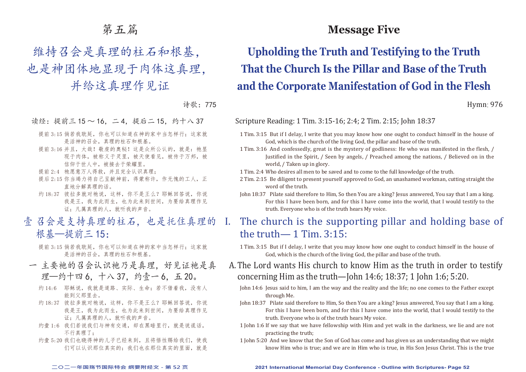#### 第五篇

# 维持召会是真理的柱石和根基,

### 也是神团体地显现于肉体这真理,

并给这真理作见证

诗歌:775

读经: 提前三 15 ~ 16, 二 4, 提后二 15, 约十八 37

- 提前 3:15 倘若我耽延, 你也可以知道在神的家中当怎样行; 这家就 是活神的召会,真理的柱石和根基。
- 提前 3:16 并且,大哉!敬虔的奥秘!这是众所公认的,就是:祂显 现于肉体,被称义于灵里,被天使看见,被传于万邦,被 信仰于世人中,被接去于荣耀里。
- 提前 2:4 祂愿意万人得救, 并且完全认识真理;
- 提后 2:15 你当竭力将自己呈献神前, 得蒙称许, 作无愧的工人, 正 直地分解真理的话。
- 约 18:37 彼拉多就对祂说, 这样, 你不是王么? 耶稣回答说, 你说 我是王,我为此而生,也为此来到世间,为要给真理作见 证;凡属真理的人,就听我的声音。
- 壹 召会是支持真理的柱石,也是托住真理的 根基—提前三 15:

提前 3:15 倘若我耽延, 你也可以知道在神的家中当怎样行;这家就 是活神的召会,真理的柱石和根基。

- 一 主要祂的召会认识祂乃是真理,好见证祂是真 理—约十四 6, 十八 37, 约壹一 6, 五 20。
	- 约 14:6 耶稣说,我就是道路、实际、生命;若不借着我,没有人 能到父那里去。
	- 约 18:37 彼拉多就对祂说,这样,你不是王么?耶稣回答说,你说 我是王,我为此而生,也为此来到世间,为要给真理作见 证;凡属真理的人,就听我的声音。
	- 约壹 1:6 我们若说我们与神有交通,却在黑暗里行,就是说谎话, 不行真理了;
	- 约壹 5:20 我们也晓得神的儿子已经来到, 目将悟性赐给我们, 使我 们可以认识那位真实的;我们也在那位真实的里面,就是

#### **Message Five**

# **Upholding the Truth and Testifying to the Truth That the Church Is the Pillar and Base of the Truth and the Corporate Manifestation of God in the Flesh**

Hymn: 976

Scripture Reading: 1 Tim. 3:15-16; 2:4; 2 Tim. 2:15; John 18:37

- 1 Tim. 3:15 But if I delay, I write that you may know how one ought to conduct himself in the house of God, which is the church of the living God, the pillar and base of the truth.
- 1 Tim. 3:16 And confessedly, great is the mystery of godliness: He who was manifested in the flesh, / Justified in the Spirit, / Seen by angels, / Preached among the nations, / Believed on in the world, / Taken up in glory.
- 1 Tim. 2:4 Who desires all men to be saved and to come to the full knowledge of the truth.
- 2 Tim. 2:15 Be diligent to present yourself approved to God, an unashamed workman, cutting straight the word of the truth.
- John 18:37 Pilate said therefore to Him, So then You are a king? Jesus answered, You say that I am a king. For this I have been born, and for this I have come into the world, that I would testify to the truth. Everyone who is of the truth hears My voice.

#### I. The church is the supporting pillar and holding base of the truth— 1 Tim. 3:15:

- 1 Tim. 3:15 But if I delay, I write that you may know how one ought to conduct himself in the house of God, which is the church of the living God, the pillar and base of the truth.
- A.The Lord wants His church to know Him as the truth in order to testify concerning Him as the truth—John 14:6; 18:37; 1 John 1:6; 5:20.
	- John 14:6 Jesus said to him, I am the way and the reality and the life; no one comes to the Father except through Me.
	- John 18:37 Pilate said therefore to Him, So then You are a king? Jesus answered, You say that I am a king. For this I have been born, and for this I have come into the world, that I would testify to the truth. Everyone who is of the truth hears My voice.
	- 1 John 1:6 If we say that we have fellowship with Him and yet walk in the darkness, we lie and are not practicing the truth;
	- 1 John 5:20 And we know that the Son of God has come and has given us an understanding that we might know Him who is true; and we are in Him who is true, in His Son Jesus Christ. This is the true

#### **二○二一年国殇节国际特会 纲要附经文 - 第 52 页 2021 International Memorial Day Conference - Outline with Scriptures- Page 52**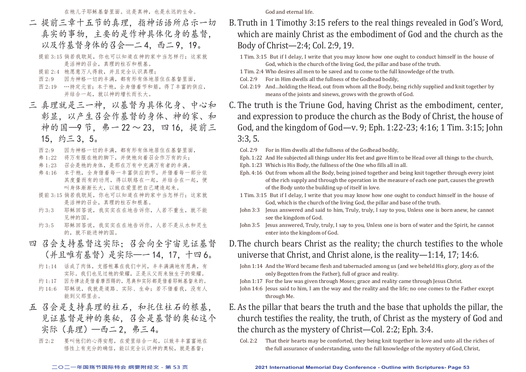在祂儿子耶稣基督里面。这是真神,也是永远的生命。

- 二 提前三章十五节的真理,指神话语所启示一切 真实的事物,主要的是作神具体化身的基督, 以及作基督身体的召会—二4,西二9,19。
	- 提前 3:15 倘若我耽延, 你也可以知道在神的家中当怎样行; 这家就 是活神的召会,真理的柱石和根基。
	- 提前 2:4 祂愿意万人得救,并且完全认识真理;
	- 西 2:9 因为神格一切的丰满,都有形有体地居住在基督里面,
	- 西 2:19 …持定元首;本于祂,全身借着节和筋,得了丰富的供应, 并结合一起,就以神的增长而长大。
- 三 真理就是三一神,以基督为具体化身、中心和 彰显,以产生召会作基督的身体、神的家、和 神的国—9节,弗一 22 ~ 23, 四 16, 提前三 15,约三 3,5。
	- 西 2:9 因为神格一切的丰满,都有形有体地居住在基督里面,
	- 弗 1:22 将万有服在祂的脚下,并使祂向着召会作万有的头;
	- 弗 1:23 召会是祂的身体,是那在万有中充满万有者的丰满。
	- 弗 4:16 本于祂, 全身借着每一丰富供应的节, 并借着每一部分依 其度量而有的功用,得以联络在一起,并结合在一起,便 叫身体渐渐长大,以致在爱里把自己建造起来。
	- 提前 3:15 倘若我耽延, 你也可以知道在神的家中当怎样行;这家就 是活神的召会,真理的柱石和根基。
	- 约 3:3 耶稣回答说,我实实在在地告诉你,人若不重生,就不能 见神的国。
	- 约 3:5 耶稣回答说,我实实在在地告诉你,人若不是从水和灵生 的,就不能进神的国。
- 四 召会支持基督这实际;召会向全宇宙见证基督 (并且唯有基督)是实际—一 14,17,十四 6。
	- 约 1:14 话成了肉体, 支搭帐幕在我们中间, 丰丰满满地有恩典, 有 实际。我们也见过祂的荣耀,正是从父而来独生子的荣耀。
	- 约 1:17 因为律法是借着摩西赐的,恩典和实际都是借着耶稣基督来的。
	- 约 14:6 耶稣说, 我就是道路、实际、生命; 若不借着我, 没有人 能到父那里去。
- 五 召会是支持真理的柱石,和托住柱石的根基。 见证基督是神的奥秘,召会是基督的奥秘这个 实际(真理)—西二2. 弗三4。
	- 西 2:2 要叫他们的心得安慰,在爱里结合一起,以致丰丰富富地在 悟性上有充分的确信,能以完全认识神的奥秘,就是基督;

God and eternal life.

- B.Truth in 1 Timothy 3:15 refers to the real things revealed in God's Word, which are mainly Christ as the embodiment of God and the church as the Body of Christ—2:4; Col. 2:9, 19.
	- 1 Tim. 3:15 But if I delay, I write that you may know how one ought to conduct himself in the house of God, which is the church of the living God, the pillar and base of the truth.
	- 1 Tim. 2:4 Who desires all men to be saved and to come to the full knowledge of the truth.<br>Col. 2:9 For in Him dwells all the fullness of the Godhead bodily.
	- For in Him dwells all the fullness of the Godhead bodily,
	- Col. 2:19 And…holding the Head, out from whom all the Body, being richly supplied and knit together by means of the joints and sinews, grows with the growth of God.
- C. The truth is the Triune God, having Christ as the embodiment, center, and expression to produce the church as the Body of Christ, the house of God, and the kingdom of God—v. 9; Eph. 1:22-23; 4:16; 1 Tim. 3:15; John 3:3, 5.
	- Col. 2:9 For in Him dwells all the fullness of the Godhead bodily,
	- Eph. 1:22 And He subjected all things under His feet and gave Him to be Head over all things to the church,
	- Eph. 1:23 Which is His Body, the fullness of the One who fills all in all.
	- Eph. 4:16 Out from whom all the Body, being joined together and being knit together through every joint of the rich supply and through the operation in the measure of each one part, causes the growth of the Body unto the building up of itself in love.
	- 1 Tim. 3:15 But if I delay, I write that you may know how one ought to conduct himself in the house of God, which is the church of the living God, the pillar and base of the truth.
	- John 3:3 Jesus answered and said to him, Truly, truly, I say to you, Unless one is born anew, he cannot see the kingdom of God.
	- John 3:5 Jesus answered, Truly, truly, I say to you, Unless one is born of water and the Spirit, he cannot enter into the kingdom of God.
- D.The church bears Christ as the reality; the church testifies to the whole universe that Christ, and Christ alone, is the reality—1:14, 17; 14:6.
	- John 1:14 And the Word became flesh and tabernacled among us (and we beheld His glory, glory as of the only Begotten from the Father), full of grace and reality.
	- John 1:17 For the law was given through Moses; grace and reality came through Jesus Christ.
	- John 14:6 Jesus said to him, I am the way and the reality and the life; no one comes to the Father except through Me.
- E. As the pillar that bears the truth and the base that upholds the pillar, the church testifies the reality, the truth, of Christ as the mystery of God and the church as the mystery of Christ—Col. 2:2; Eph. 3:4.
	- Col. 2:2 That their hearts may be comforted, they being knit together in love and unto all the riches of the full assurance of understanding, unto the full knowledge of the mystery of God, Christ,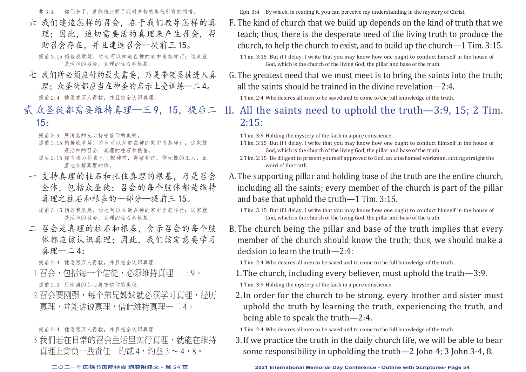弗 3:4 你们念了, 就能借此明了我对基督的奥秘所有的领悟,

- 六 我们建造怎样的召会,在于我们教导怎样的真 理;因此,迫切需要活的真理来产生召会,帮 助召会存在,并且建造召会—提前三 15。 提前 3:15 倘若我耽延, 你也可以知道在神的家中当怎样行;这家就 是活神的召会, 直理的柱石和根某。
- 七 我们所必须应付的最大需要,乃是带领圣徒进入真 理;众圣徒都应当在神圣的启示上受训练—二 4。 提前 2:4 祂愿意万人得救, 并且完全认识真理;
- 贰 众圣徒都需要维持真理—三 9,15,提后二 15:

提前 3:9 用清洁的良心持守信仰的奥秘。

- 提前 3:15 倘若我耽延, 你也可以知道在神的家中当怎样行; 这家就 是活神的召会,真理的柱石和根基。
- 提后 2:15 你当竭力将自己呈献神前, 得蒙称许, 作无愧的工人, 正 直地分解真理的话。
- 一 支持真理的柱石和托住真理的根基,乃是召会 全体,包括众圣徒;召会的每个肢体都是维持 真理之柱石和根基的一部分—提前三 15。
	- 提前 3:15 倘若我耽延, 你也可以知道在神的家中当怎样行; 这家就 是活神的召会,真理的柱石和根基。
- 二 召会是真理的柱石和根基,含示召会的每个肢 体都应该认识真理;因此,我们该定意要学习 真理—二 4:

提前 2:4 祂愿意万人得救, 并且完全认识真理;

- 1 召会,包括每一个信徒,必须维持直理—三 9。 提前 3:9 用清洁的良心持守信仰的奥秘。
- 2 召会要刚强,每个弟兄姊妹就必须学习真理,经历 真理,并能讲说真理,借此维持真理—二 4。

提前 2.4 祂原意万人得救, 并目宗全认识直理;

3 我们若在日常的召会生活里实行直理,就能在维持 直理上背负一些责任—约贰 4, 约叁 3 ~ 4, 8。

Eph. 3:4 By which, in reading it, you can perceive my understanding in the mystery of Christ,

F. The kind of church that we build up depends on the kind of truth that we teach; thus, there is the desperate need of the living truth to produce the church, to help the church to exist, and to build up the church—1 Tim. 3:15.

1 Tim. 3:15 But if I delay, I write that you may know how one ought to conduct himself in the house of God, which is the church of the living God, the pillar and base of the truth.

G.The greatest need that we must meet is to bring the saints into the truth; all the saints should be trained in the divine revelation—2:4.

1 Tim. 2:4 Who desires all men to be saved and to come to the full knowledge of the truth.

#### II. All the saints need to uphold the truth—3:9, 15; 2 Tim.  $2:15:$

1 Tim. 3:9 Holding the mystery of the faith in a pure conscience.

- 1 Tim. 3:15 But if I delay, I write that you may know how one ought to conduct himself in the house of God, which is the church of the living God, the pillar and base of the truth.
- 2 Tim. 2:15 Be diligent to present yourself approved to God, an unashamed workman, cutting straight the word of the truth.
- A.The supporting pillar and holding base of the truth are the entire church, including all the saints; every member of the church is part of the pillar and base that uphold the truth—1 Tim. 3:15.
	- 1 Tim. 3:15 But if I delay, I write that you may know how one ought to conduct himself in the house of God, which is the church of the living God, the pillar and base of the truth.
- B.The church being the pillar and base of the truth implies that every member of the church should know the truth; thus, we should make a decision to learn the truth—2:4:

1 Tim. 2:4 Who desires all men to be saved and to come to the full knowledge of the truth.

1.The church, including every believer, must uphold the truth—3:9.

1 Tim. 3:9 Holding the mystery of the faith in a pure conscience.

2.In order for the church to be strong, every brother and sister must uphold the truth by learning the truth, experiencing the truth, and being able to speak the truth—2:4.

1 Tim. 2:4 Who desires all men to be saved and to come to the full knowledge of the truth.

3.If we practice the truth in the daily church life, we will be able to bear some responsibility in upholding the truth—2 John 4; 3 John 3-4, 8.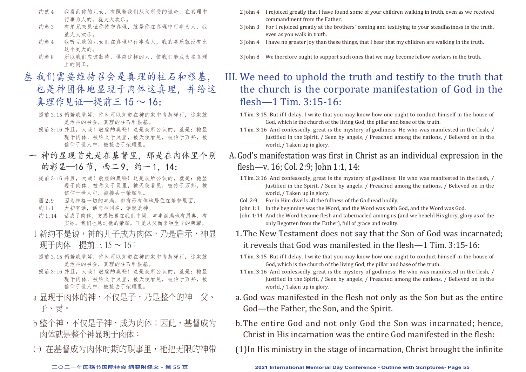- 约贰 4 我看到你的儿女,有照着我们从父所受的诫命,在真理中 行事为人的,就大大欢乐。
- 约叁 3 有弟兄来见证你持守真理,就是你在真理中行事为人,我 就大大欢乐。
- 约叁 4 我听见我的儿女们在真理中行事为人,我的喜乐就没有比 这个更大的。
- 约叁 8 所以我们应该款待、供应这样的人,使我们能成为在真理 上的同工。
- 叁 我们需要维持召会是真理的柱石和根基, 也是神团体地显现于肉体这真理,并给这 真理作见证—提前三 15 ~ 16:
	- 提前 3:15 倘若我耽延, 你也可以知道在神的家中当怎样行; 这家就 是活神的召会,真理的柱石和根基。
	- 提前 3:16 并且, 大哉! 敬虔的奥秘! 这是众所公认的, 就是: 祂显 现于肉体,被称义于灵里,被天使看见,被传于万邦,被 信仰于世人中,被接去于荣耀里。
	- 一 神的显现首先是在基督里,那是在肉体里个别 的彰显—16节, 西二9, 约一1, 14:
		- 提前 3:16 并且,大哉!敬虔的奥秘!这是众所公认的,就是:祂显 现于肉体,被称义于灵里,被天使看见,被传于万邦,被 信仰于世人中,被接去于荣耀里。
		- 西 2:9 因为神格一切的丰满,都有形有体地居住在基督里面,
		- 约 1:1 太初有话, 话与神同在, 话就是神。
		- 约 1:14 话成了肉体,支搭帐幕在我们中间,丰丰满满地有恩典,有 实际。我们也见过祂的荣耀,正是从父而来独生子的荣耀。
		- 1 新约不是说,神的儿子成为肉体,乃是启示,神显 现于肉体一提前三  $15 \sim 16$ :
		- 提前 3:15 倘若我耽延, 你也可以知道在神的家中当怎样行;这家就 是活神的召会,真理的柱石和根基。
		- 提前 3:16 并且,大哉!敬虔的奥秘!这是众所公认的,就是:祂显 现于肉体,被称义于灵里,被天使看见,被传于万邦,被 信仰于世人中,被接去于荣耀里。
	- a 显现于肉体的神,不仅是子,乃是整个的神一父、 子、灵。
	- b 整个神,不仅是子神,成为肉体;因此,基督成为 肉体就是整个神显现于肉体:
	- (-) 在基督成为肉体时期的职事里,祂把无限的神带
- 2 John 4 I rejoiced greatly that I have found some of your children walking in truth, even as we received commandment from the Father.
- 3 John 3 For I rejoiced greatly at the brothers' coming and testifying to your steadfastness in the truth, even as you walk in truth.
- 3 John 4 I have no greater joy than these things, that I hear that my children are walking in the truth.
- 3 John 8 We therefore ought to support such ones that we may become fellow workers in the truth.

### III. We need to uphold the truth and testify to the truth that the church is the corporate manifestation of God in the flesh—1 Tim. 3:15-16:

- 1 Tim. 3:15 But if I delay, I write that you may know how one ought to conduct himself in the house of God, which is the church of the living God, the pillar and base of the truth.
- 1 Tim. 3:16 And confessedly, great is the mystery of godliness: He who was manifested in the flesh, / Justified in the Spirit, / Seen by angels, / Preached among the nations, / Believed on in the world, / Taken up in glory.
- A.God's manifestation was first in Christ as an individual expression in the flesh—v. 16; Col. 2:9; John 1:1, 14:
	- 1 Tim. 3:16 And confessedly, great is the mystery of godliness: He who was manifested in the flesh, / Justified in the Spirit, / Seen by angels, / Preached among the nations, / Believed on in the world, / Taken up in glory.
	- Col. 2:9 For in Him dwells all the fullness of the Godhead bodily,
	- John 1:1 In the beginning was the Word, and the Word was with God, and the Word was God.
	- John 1:14 And the Word became flesh and tabernacled among us (and we beheld His glory, glory as of the only Begotten from the Father), full of grace and reality.
	- 1.The New Testament does not say that the Son of God was incarnated; it reveals that God was manifested in the flesh—1 Tim. 3:15-16:
	- 1 Tim. 3:15 But if I delay, I write that you may know how one ought to conduct himself in the house of God, which is the church of the living God, the pillar and base of the truth.
	- 1 Tim. 3:16 And confessedly, great is the mystery of godliness: He who was manifested in the flesh, / Justified in the Spirit, / Seen by angels, / Preached among the nations, / Believed on in the world, / Taken up in glory.
	- a. God was manifested in the flesh not only as the Son but as the entire God—the Father, the Son, and the Spirit.
	- b.The entire God and not only God the Son was incarnated; hence, Christ in His incarnation was the entire God manifested in the flesh:
- (1)In His ministry in the stage of incarnation, Christ brought the infinite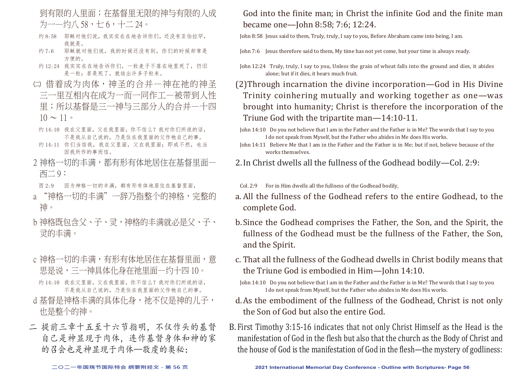- 到有限的人里面;在基督里无限的神与有限的人成 为一—约八 58,七 6,十二 24。
- 约 8:58 耶稣对他们说,我实实在在地告诉你们,还没有亚伯拉罕, 我就是。
- 约 7:6 耶稣就对他们说,我的时候还没有到,你们的时候却常是 方便的。
- 约 12:24 我实实在在地告诉你们,一粒麦子不落在地里死了,仍旧 是一粒;若是死了,就结出许多子粒来。
- ㈡ 借着成为肉体,神圣的合并—神在祂的神圣 三一里互相内在成为一而一同作工—被带到人性 里;所以基督是三一神与三部分人的合并—十四  $10 \sim 11$
- 约 14:10 我在父里面,父在我里面,你不信么?我对你们所说的话, 不是我从自己说的,乃是住在我里面的父作祂自己的事。
- 约 14:11 你们当信我,我在父里面,父在我里面;即或不然,也当 因我所作的事而信。
- 2 神格一切的丰满,都有形有体地居住在基督里面— 西二 9:
- 西 2:9 因为神格一切的丰满,都有形有体地居住在基督里面,
- a "神格一切的丰满"一辞乃指整个的神格,完整的 神。
- b 神格既包含父、子、灵, 神格的丰满就必是父、子、 灵的丰满。
- c 神格一切的丰满,有形有体地居住在基督里面,意 思是说,三一神具体化身在祂里面—约十四 10。
- 约 14:10 我在父里面,父在我里面,你不信么?我对你们所说的话, 不是我从自己说的,乃是住在我里面的父作祂自己的事。
- d 基督是神格丰满的具体化身, 祂不仅是神的儿子, 也是整个的神。
- 二 提前三章十五至十六节指明,不仅作头的基督 自己是神显现于肉体,连作基督身体和神的家 的召会也是神显现于肉体—敬虔的奥秘:

#### God into the finite man; in Christ the infinite God and the finite man became one—John 8:58; 7:6; 12:24.

John 8:58 Jesus said to them, Truly, truly, I say to you, Before Abraham came into being, I am.

John 7:6 Jesus therefore said to them, My time has not yet come, but your time is always ready.

- John 12:24 Truly, truly, I say to you, Unless the grain of wheat falls into the ground and dies, it abides alone; but if it dies, it bears much fruit.
- (2)Through incarnation the divine incorporation—God in His Divine Trinity coinhering mutually and working together as one—was brought into humanity; Christ is therefore the incorporation of the Triune God with the tripartite man—14:10-11.
- John 14:10 Do you not believe that I am in the Father and the Father is in Me? The words that I say to you I do not speak from Myself, but the Father who abides in Me does His works.
- John 14:11 Believe Me that I am in the Father and the Father is in Me; but if not, believe because of the works themselves.

2.In Christ dwells all the fullness of the Godhead bodily—Col. 2:9:

Col. 2:9 For in Him dwells all the fullness of the Godhead bodily,

- a. All the fullness of the Godhead refers to the entire Godhead, to the complete God.
- b.Since the Godhead comprises the Father, the Son, and the Spirit, the fullness of the Godhead must be the fullness of the Father, the Son, and the Spirit.
- c. That all the fullness of the Godhead dwells in Christ bodily means that the Triune God is embodied in Him—John 14:10.
- John 14:10 Do you not believe that I am in the Father and the Father is in Me? The words that I say to you I do not speak from Myself, but the Father who abides in Me does His works.
- d.As the embodiment of the fullness of the Godhead, Christ is not only the Son of God but also the entire God.
- B. First Timothy 3:15-16 indicates that not only Christ Himself as the Head is the manifestation of God in the flesh but also that the church as the Body of Christ and the house of God is the manifestation of God in the flesh—the mystery of godliness: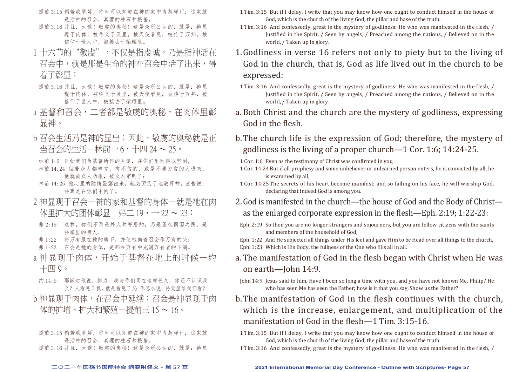- 提前 3:15 倘若我耽延, 你也可以知道在神的家中当怎样行;这家就 是活神的召会,真理的柱石和根基。
- 提前 3:16 并 目, 大哉! 敬虔的奥秘! 这是众所公认的, 就是: 祂显 现于肉体,被称义于灵里,被天使看见,被传于万邦,被 信仰于世人中,被接去于荣耀里。
- 1 十六节的"敬虔",不仅是指虔诚,乃是指神活在 召会中,就是那是生命的神在召会中活了出来,得 着了彰显:
- 提前 3:16 并且,大哉!敬虔的奥秘!这是众所公认的,就是:祂显 现于肉体,被称义于灵里,被天使看见,被传于万邦,被 信仰于世人中,被接去于荣耀里。
- a 基督和召会,二者都是敬虔的奥秘,在肉体里彰 显神。
- b 召会生活乃是神的显出;因此, 敬虔的奥秘就是正 当召会的生活—林前一 6,十四 24 ~ 25。

林前 1:6 正如我们为基督所作的见证,在你们里面得以坚固, 林前 14:24 但若众人都申言,有不信的,或是不通方言的人进来, 他就被众人劝服,被众人审明了;

- 林前 14:25 他心里的隐情显露出来,就必面伏于地敬拜神,宣告说, 神真是在你们中间了。
- 2 神显现于召会—神的家和基督的身体—就是祂在肉 体里扩大的团体彰显—弗二 19, - 22 ~ 23:
	- 弗 2:19 这样, 你们不再是外人和寄居的, 乃是圣徒同国之民, 是 神家里的亲人,
	- 弗 1:22 将万有服在祂的脚下,并使祂向着召会作万有的头;
	- 弗 1:23 召会是祂的身体,是那在万有中充满万有者的丰满。
- a 神显现于肉体,开始于基督在地上的时候—约 十四 9。
- 约 14:9 耶稣对他说, 腓力, 我与你们同在这样长久, 你还不认识我 么?人看见了我,就是看见了父;你怎么说,将父显给我们看?
- b 神显现于肉体, 在召会中延续; 召会是神显现于肉 体的扩增、扩大和繁殖—提前三 15 ~ 16。
- 提前 3:15 倘若我耽延, 你也可以知道在神的家中当怎样行;这家就 是活神的召会,真理的柱石和根基。
- 提前 3:16 并且,大哉!敬虔的奥秘!这是众所公认的,就是:祂显
- 1 Tim. 3:15 But if I delay, I write that you may know how one ought to conduct himself in the house of God, which is the church of the living God, the pillar and base of the truth.
- 1 Tim. 3:16 And confessedly, great is the mystery of godliness: He who was manifested in the flesh, / Justified in the Spirit, / Seen by angels, / Preached among the nations, / Believed on in the world, / Taken up in glory.
- 1.Godliness in verse 16 refers not only to piety but to the living of God in the church, that is, God as life lived out in the church to be expressed:
	- 1 Tim. 3:16 And confessedly, great is the mystery of godliness: He who was manifested in the flesh, / Justified in the Spirit, / Seen by angels, / Preached among the nations, / Believed on in the world, / Taken up in glory.
- a. Both Christ and the church are the mystery of godliness, expressing God in the flesh.
- b.The church life is the expression of God; therefore, the mystery of godliness is the living of a proper church—1 Cor. 1:6; 14:24-25.
- 1 Cor. 1:6 Even as the testimony of Christ was confirmed in you,
- 1 Cor. 14:24But if all prophesy and some unbeliever or unlearned person enters, he is convicted by all, he is examined by all;
- 1 Cor. 14:25 The secrets of his heart become manifest; and so falling on his face, he will worship God, declaring that indeed God is among you.
- 2.God is manifested in the church—the house of God and the Body of Christ as the enlarged corporate expression in the flesh—Eph. 2:19; 1:22-23:
- Eph. 2:19 So then you are no longer strangers and sojourners, but you are fellow citizens with the saints and members of the household of God,
- Eph. 1:22 And He subjected all things under His feet and gave Him to be Head over all things to the church,
- Eph. 1:23 Which is His Body, the fullness of the One who fills all in all.
- a. The manifestation of God in the flesh began with Christ when He was on earth—John 14:9.
- John 14:9 Jesus said to him, Have I been so long a time with you, and you have not known Me, Philip? He who has seen Me has seen the Father; how is it that you say, Show us the Father?
- b.The manifestation of God in the flesh continues with the church, which is the increase, enlargement, and multiplication of the manifestation of God in the flesh—1 Tim. 3:15-16.

1 Tim. 3:15 But if I delay, I write that you may know how one ought to conduct himself in the house of God, which is the church of the living God, the pillar and base of the truth.

1 Tim. 3:16 And confessedly, great is the mystery of godliness: He who was manifested in the flesh, /